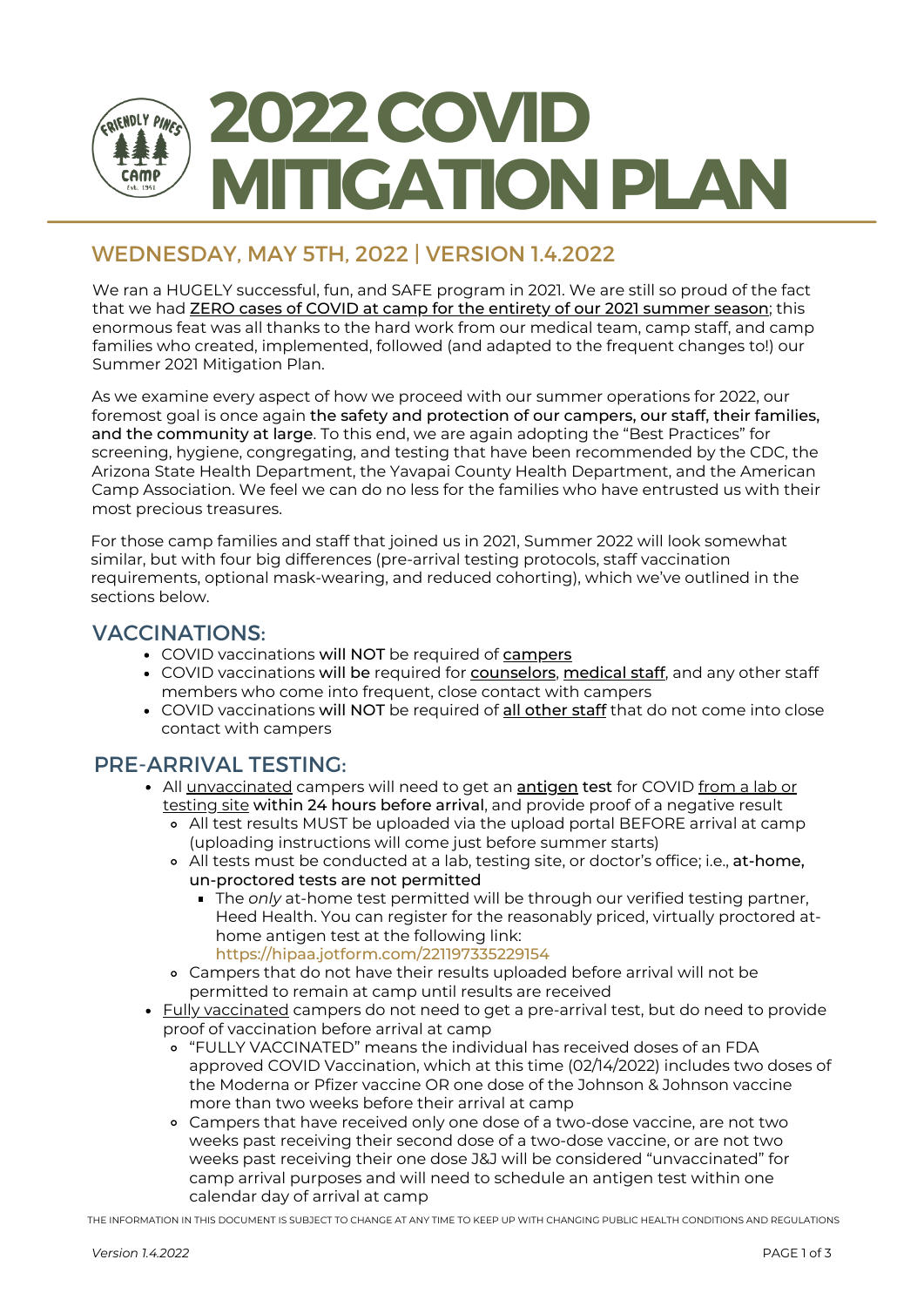

# WEDNESDAY, MAY 5TH, 2022 | VERSION 1.4.2022

We ran a HUGELY successful, fun, and SAFE program in 2021. We are still so proud of the fact that we had **ZERO cases of COVID at camp for the entirety of our 2021 summer season**; this enormous feat was all thanks to the hard work from our medical team, camp staff, and camp families who created, implemented, followed (and adapted to the frequent changes to!) our Summer 2021 Mitigation Plan.

As we examine every aspect of how we proceed with our summer operations for 2022, our foremost goal is once again the safety and protection of our campers, our staff, their families, and the community at large. To this end, we are again adopting the "Best Practices" for screening, hygiene, congregating, and testing that have been recommended by the CDC, the Arizona State Health Department, the Yavapai County Health Department, and the American Camp Association. We feel we can do no less for the families who have entrusted us with their most precious treasures.

For those camp families and staff that joined us in 2021, Summer 2022 will look somewhat similar, but with four big differences (pre-arrival testing protocols, staff vaccination requirements, optional mask-wearing, and reduced cohorting), which we've outlined in the sections below.

#### VACCINATIONS:

- COVID vaccinations will NOT be required of campers
- COVID vaccinations will be required for counselors, medical staff, and any other staff members who come into frequent, close contact with campers
- COVID vaccinations will NOT be required of all other staff that do not come into close contact with campers

### PRE-ARRIVAL TESTING:

- All unvaccinated campers will need to get an **antigen test** for COVID from a lab or testing site within 24 hours before arrival, and provide proof of a negative result
	- All test results MUST be uploaded via the upload portal BEFORE arrival at camp (uploading instructions will come just before summer starts)
	- All tests must be conducted at a lab, testing site, or doctor's office; i.e., at-home, un-proctored tests are not permitted
		- The *only* at-home test permitted will be through our verified testing partner, Heed Health. You can register for the reasonably priced, virtually proctored athome antigen test at the following link: https://hipaa.jotform.com/221197335229154
	- Campers that do not have their results uploaded before arrival will not be permitted to remain at camp until results are received
- Fully vaccinated campers do not need to get a pre-arrival test, but do need to provide proof of vaccination before arrival at camp
	- "FULLY VACCINATED" means the individual has received doses of an FDA approved COVID Vaccination, which at this time (02/14/2022) includes two doses of the Moderna or Pfizer vaccine OR one dose of the Johnson & Johnson vaccine more than two weeks before their arrival at camp
	- Campers that have received only one dose of a two-dose vaccine, are not two weeks past receiving their second dose of a two-dose vaccine, or are not two weeks past receiving their one dose J&J will be considered "unvaccinated" for camp arrival purposes and will need to schedule an antigen test within one calendar day of arrival at camp

THE INFORMATION IN THIS DOCUMENT IS SUBJECT TO CHANGE AT ANY TIME TO KEEP UP WITH CHANGING PUBLIC HEALTH CONDITIONS AND REGULATIONS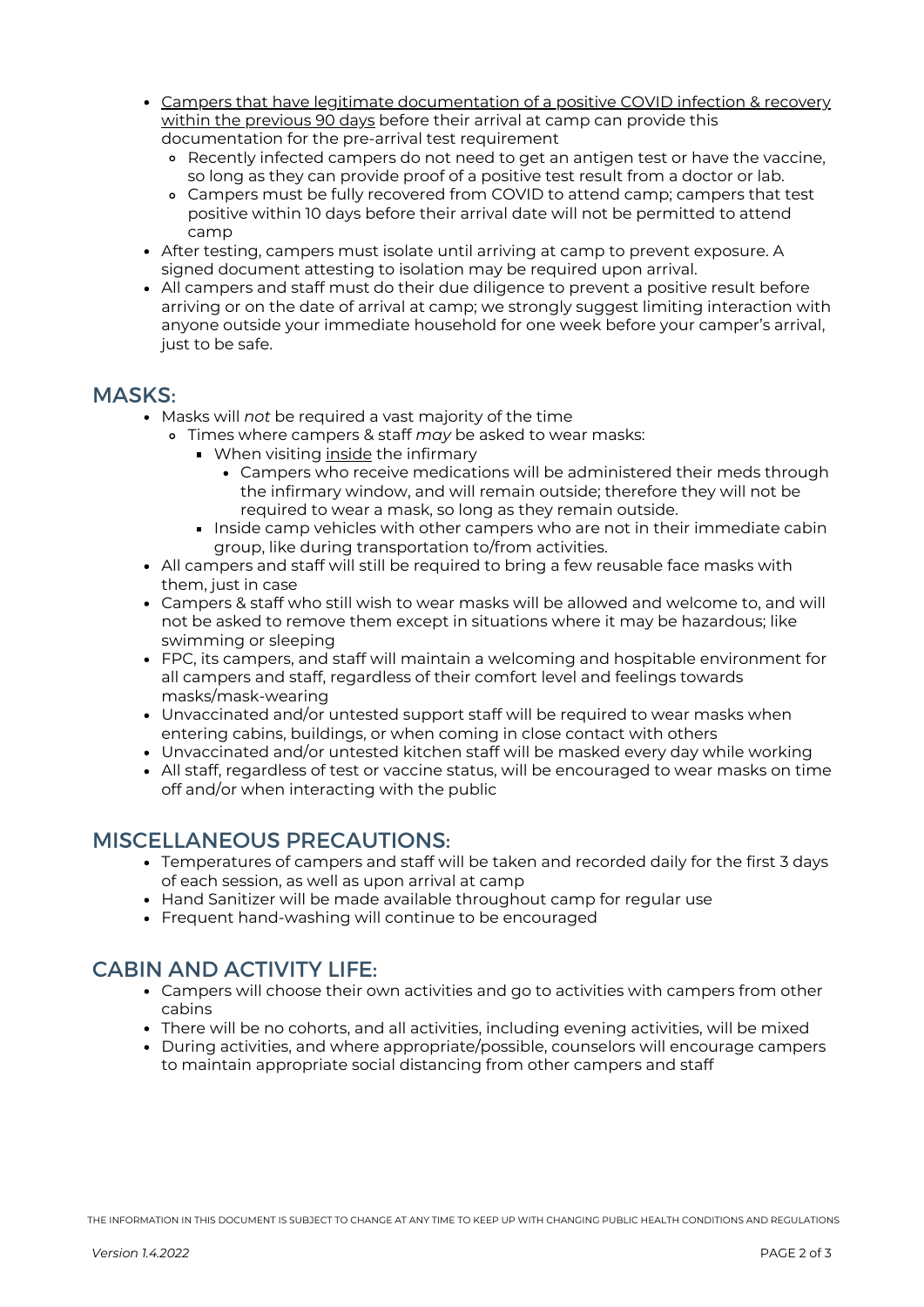- Campers that have legitimate documentation of a positive COVID infection & recovery within the previous 90 days before their arrival at camp can provide this documentation for the pre-arrival test requirement
	- Recently infected campers do not need to get an antigen test or have the vaccine, so long as they can provide proof of a positive test result from a doctor or lab.
	- Campers must be fully recovered from COVID to attend camp; campers that test positive within 10 days before their arrival date will not be permitted to attend camp
- After testing, campers must isolate until arriving at camp to prevent exposure. A signed document attesting to isolation may be required upon arrival.
- All campers and staff must do their due diligence to prevent a positive result before arriving or on the date of arrival at camp; we strongly suggest limiting interaction with anyone outside your immediate household for one week before your camper's arrival, just to be safe.

#### MASKS:

- Masks will *not* be required a vast majority of the time
	- Times where campers & staff *may* be asked to wear masks:
		- When visiting inside the infirmary
			- Campers who receive medications will be administered their meds through the infirmary window, and will remain outside; therefore they will not be required to wear a mask, so long as they remain outside.
		- Inside camp vehicles with other campers who are not in their immediate cabin group, like during transportation to/from activities.
- All campers and staff will still be required to bring a few reusable face masks with them, just in case
- Campers & staff who still wish to wear masks will be allowed and welcome to, and will not be asked to remove them except in situations where it may be hazardous; like swimming or sleeping
- FPC, its campers, and staff will maintain a welcoming and hospitable environment for all campers and staff, regardless of their comfort level and feelings towards masks/mask-wearing
- Unvaccinated and/or untested support staff will be required to wear masks when entering cabins, buildings, or when coming in close contact with others
- Unvaccinated and/or untested kitchen staff will be masked every day while working
- All staff, regardless of test or vaccine status, will be encouraged to wear masks on time off and/or when interacting with the public

### MISCELLANEOUS PRECAUTIONS:

- Temperatures of campers and staff will be taken and recorded daily for the first 3 days of each session, as well as upon arrival at camp
- Hand Sanitizer will be made available throughout camp for regular use
- Frequent hand-washing will continue to be encouraged

## CABIN AND ACTIVITY LIFE:

- Campers will choose their own activities and go to activities with campers from other cabins
- There will be no cohorts, and all activities, including evening activities, will be mixed
- During activities, and where appropriate/possible, counselors will encourage campers to maintain appropriate social distancing from other campers and staff